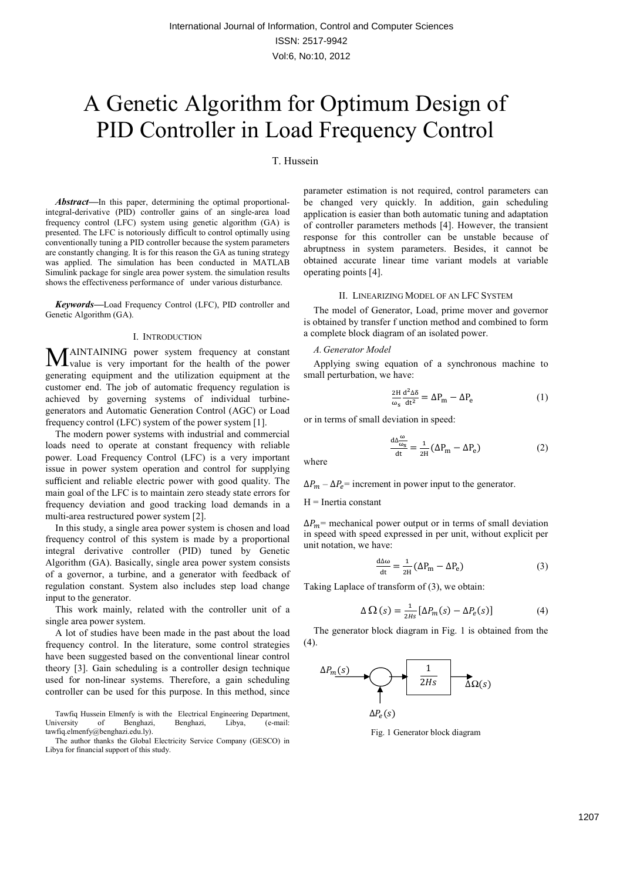# A Genetic Algorithm for Optimum Design of PID Controller in Load Frequency Control

# T. Hussein

*Abstract—*In this paper, determining the optimal proportionalintegral-derivative (PID) controller gains of an single-area load frequency control (LFC) system using genetic algorithm (GA) is presented. The LFC is notoriously difficult to control optimally using conventionally tuning a PID controller because the system parameters are constantly changing. It is for this reason the GA as tuning strategy was applied. The simulation has been conducted in MATLAB Simulink package for single area power system. the simulation results shows the effectiveness performance of under various disturbance.

*Keywords—*Load Frequency Control (LFC), PID controller and Genetic Algorithm (GA).

## I. INTRODUCTION

AINTAINING power system frequency at constant MAINTAINING power system frequency at constant value is very important for the health of the power generating equipment and the utilization equipment at the customer end. The job of automatic frequency regulation is achieved by governing systems of individual turbinegenerators and Automatic Generation Control (AGC) or Load frequency control (LFC) system of the power system [1].

The modern power systems with industrial and commercial loads need to operate at constant frequency with reliable power. Load Frequency Control (LFC) is a very important issue in power system operation and control for supplying sufficient and reliable electric power with good quality. The main goal of the LFC is to maintain zero steady state errors for frequency deviation and good tracking load demands in a multi-area restructured power system [2].

In this study, a single area power system is chosen and load frequency control of this system is made by a proportional integral derivative controller (PID) tuned by Genetic Algorithm (GA). Basically, single area power system consists of a governor, a turbine, and a generator with feedback of regulation constant. System also includes step load change input to the generator.

This work mainly, related with the controller unit of a single area power system.

A lot of studies have been made in the past about the load frequency control. In the literature, some control strategies have been suggested based on the conventional linear control theory [3]. Gain scheduling is a controller design technique used for non-linear systems. Therefore, a gain scheduling controller can be used for this purpose. In this method, since

Tawfiq Hussein Elmenfy is with the Electrical Engineering Department, University of Benghazi, Benghazi, Libya, (e-mail: tawfiq.elmenfy@benghazi.edu.ly).

The author thanks the Global Electricity Service Company (GESCO) in Libya for financial support of this study.

parameter estimation is not required, control parameters can be changed very quickly. In addition, gain scheduling application is easier than both automatic tuning and adaptation of controller parameters methods [4]. However, the transient response for this controller can be unstable because of abruptness in system parameters. Besides, it cannot be obtained accurate linear time variant models at variable operating points [4].

# II. LINEARIZING MODEL OF AN LFC SYSTEM

The model of Generator, Load, prime mover and governor is obtained by transfer f unction method and combined to form a complete block diagram of an isolated power.

# *A. Generator Model*

Applying swing equation of a synchronous machine to small perturbation, we have:

$$
\frac{2H}{\omega_s} \frac{d^2 \Delta \delta}{dt^2} = \Delta P_m - \Delta P_e \tag{1}
$$

or in terms of small deviation in speed:

$$
\frac{d\Delta \frac{\omega}{\omega_s}}{dt} = \frac{1}{2H} (\Delta P_m - \Delta P_e)
$$
 (2)

where

 $\Delta P_m - \Delta P_e$ = increment in power input to the generator.

# $H =$ Inertia constant

 $\Delta P_m$ = mechanical power output or in terms of small deviation in speed with speed expressed in per unit, without explicit per unit notation, we have:

$$
\frac{d\Delta\omega}{dt} = \frac{1}{2H} (\Delta P_m - \Delta P_e)
$$
 (3)

Taking Laplace of transform of (3), we obtain:

$$
\Delta \Omega (s) = \frac{1}{2Hs} [\Delta P_m(s) - \Delta P_e(s)] \tag{4}
$$

The generator block diagram in Fig. 1 is obtained from the (4).



Fig. 1 Generator block diagram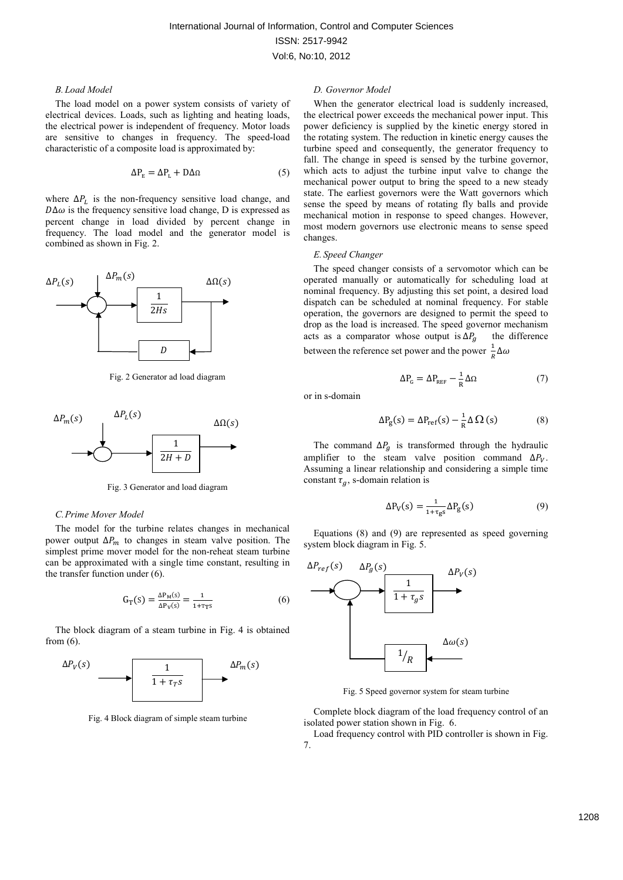# *B. Load Model*

The load model on a power system consists of variety of electrical devices. Loads, such as lighting and heating loads, the electrical power is independent of frequency. Motor loads are sensitive to changes in frequency. The speed-load characteristic of a composite load is approximated by:

$$
\Delta P_{\rm E} = \Delta P_{\rm L} + D\Delta\Omega \tag{5}
$$

where  $\Delta P_L$  is the non-frequency sensitive load change, and  $D\Delta\omega$  is the frequency sensitive load change, D is expressed as percent change in load divided by percent change in frequency. The load model and the generator model is combined as shown in Fig. 2.



Fig. 2 Generator ad load diagram



Fig. 3 Generator and load diagram

## *C.Prime Mover Model*

The model for the turbine relates changes in mechanical power output  $\Delta P_m$  to changes in steam valve position. The simplest prime mover model for the non-reheat steam turbine can be approximated with a single time constant, resulting in the transfer function under (6).

$$
G_T(s) = \frac{\Delta P_M(s)}{\Delta P_V(s)} = \frac{1}{1 + \tau_T s} \tag{6}
$$

The block diagram of a steam turbine in Fig. 4 is obtained from (6).



Fig. 4 Block diagram of simple steam turbine

## *D. Governor Model*

When the generator electrical load is suddenly increased, the electrical power exceeds the mechanical power input. This power deficiency is supplied by the kinetic energy stored in the rotating system. The reduction in kinetic energy causes the turbine speed and consequently, the generator frequency to fall. The change in speed is sensed by the turbine governor, which acts to adjust the turbine input valve to change the mechanical power output to bring the speed to a new steady state. The earliest governors were the Watt governors which sense the speed by means of rotating fly balls and provide mechanical motion in response to speed changes. However, most modern governors use electronic means to sense speed changes.

#### *E. Speed Changer*

The speed changer consists of a servomotor which can be operated manually or automatically for scheduling load at nominal frequency. By adjusting this set point, a desired load dispatch can be scheduled at nominal frequency. For stable operation, the governors are designed to permit the speed to drop as the load is increased. The speed governor mechanism acts as a comparator whose output is  $\Delta P_q$  the difference between the reference set power and the power  $\frac{1}{R}\Delta\omega$ 

$$
\Delta P_{\rm G} = \Delta P_{\rm REF} - \frac{1}{R} \Delta \Omega \tag{7}
$$

or in s-domain

$$
\Delta P_g(s) = \Delta P_{ref}(s) - \frac{1}{R} \Delta \Omega \text{ (s)}
$$
 (8)

The command  $\Delta P_g$  is transformed through the hydraulic amplifier to the steam valve position command  $\Delta P_V$ . Assuming a linear relationship and considering a simple time constant  $\tau_g$ , s-domain relation is

$$
\Delta P_V(s) = \frac{1}{1 + \tau_{gs}} \Delta P_g(s) \tag{9}
$$

Equations (8) and (9) are represented as speed governing system block diagram in Fig. 5.



Fig. 5 Speed governor system for steam turbine

Complete block diagram of the load frequency control of an isolated power station shown in Fig. 6.

Load frequency control with PID controller is shown in Fig. 7.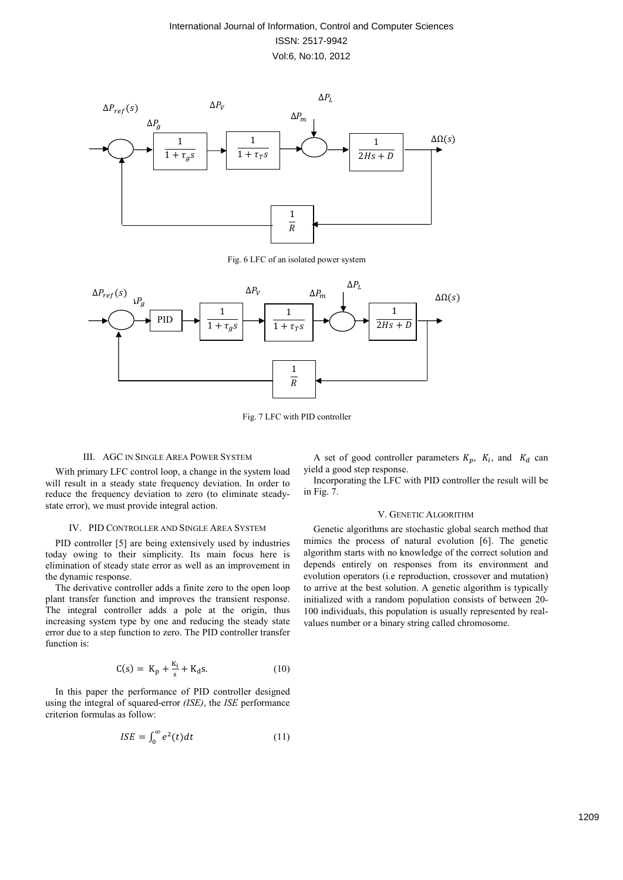

Fig. 6 LFC of an isolated power system



Fig. 7 LFC with PID controller

# III. AGC IN SINGLE AREA POWER SYSTEM

With primary LFC control loop, a change in the system load will result in a steady state frequency deviation. In order to reduce the frequency deviation to zero (to eliminate steadystate error), we must provide integral action.

# IV. PID CONTROLLER AND SINGLE AREA SYSTEM

PID controller [5] are being extensively used by industries today owing to their simplicity. Its main focus here is elimination of steady state error as well as an improvement in the dynamic response.

The derivative controller adds a finite zero to the open loop plant transfer function and improves the transient response. The integral controller adds a pole at the origin, thus increasing system type by one and reducing the steady state error due to a step function to zero. The PID controller transfer function is:

$$
C(s) = K_p + \frac{K_i}{s} + K_d s.
$$
 (10)

In this paper the performance of PID controller designed using the integral of squared-error *(ISE)*, the *ISE* performance criterion formulas as follow:

$$
ISE = \int_0^\infty e^2(t)dt \tag{11}
$$

A set of good controller parameters  $K_p$ ,  $K_i$ , and  $K_d$  can yield a good step response.

Incorporating the LFC with PID controller the result will be in Fig. 7.

## V. GENETIC ALGORITHM

Genetic algorithms are stochastic global search method that mimics the process of natural evolution [6]. The genetic algorithm starts with no knowledge of the correct solution and depends entirely on responses from its environment and evolution operators (i.e reproduction, crossover and mutation) to arrive at the best solution. A genetic algorithm is typically initialized with a random population consists of between 20- 100 individuals, this population is usually represented by realvalues number or a binary string called chromosome.